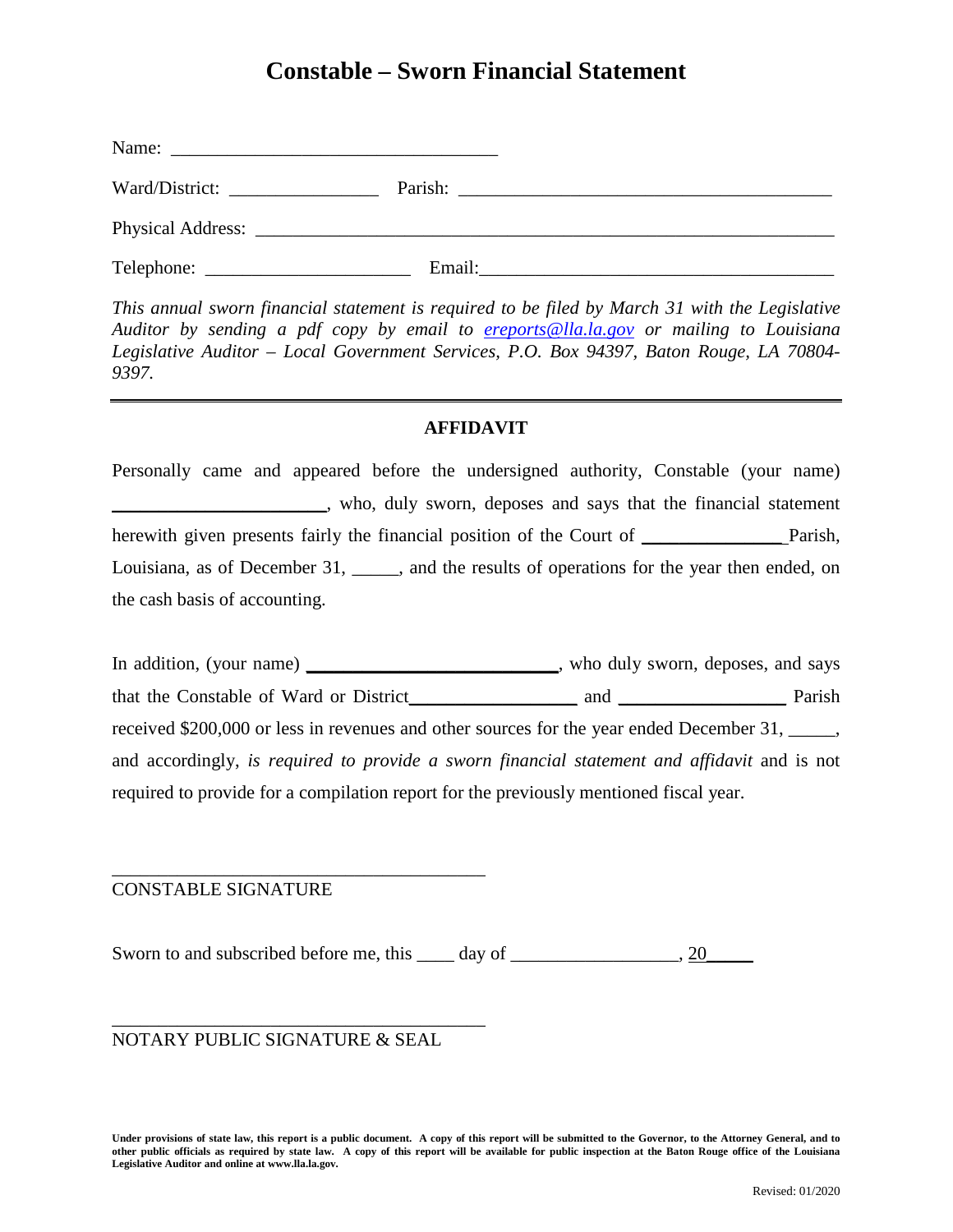# **Constable – Sworn Financial Statement**

| Name:          |        |  |
|----------------|--------|--|
| Ward/District: |        |  |
|                |        |  |
|                | Email: |  |

*This annual sworn financial statement is required to be filed by March 31 with the Legislative Auditor by sending a pdf copy by email to [ereports@lla.la.gov](mailto:ereports@lla.la.gov) or mailing to Louisiana Legislative Auditor – Local Government Services, P.O. Box 94397, Baton Rouge, LA 70804- 9397.*

# **AFFIDAVIT**

Personally came and appeared before the undersigned authority, Constable (your name) \_\_\_\_\_\_\_\_\_\_\_\_\_\_\_\_\_\_\_\_\_\_\_, who, duly sworn, deposes and says that the financial statement herewith given presents fairly the financial position of the Court of \_\_\_\_\_\_\_\_\_\_\_\_\_\_\_\_\_\_ Parish, Louisiana, as of December 31, \_\_\_\_\_, and the results of operations for the year then ended, on the cash basis of accounting.

In addition, (your name) \_\_\_\_\_\_\_\_\_\_\_\_\_\_\_\_\_\_\_\_\_\_\_\_\_\_, who duly sworn, deposes, and says that the Constable of Ward or District\_\_\_\_\_\_\_\_\_\_\_\_\_\_\_\_\_\_ and \_\_\_\_\_\_\_\_\_\_\_\_\_\_\_\_\_\_ Parish received \$200,000 or less in revenues and other sources for the year ended December 31, \_\_\_\_\_, and accordingly, *is required to provide a sworn financial statement and affidavit* and is not required to provide for a compilation report for the previously mentioned fiscal year.

## CONSTABLE SIGNATURE

Sworn to and subscribed before me, this \_\_\_\_ day of \_\_\_\_\_\_\_\_\_\_\_\_\_\_\_\_, 20\_\_\_\_\_\_\_\_

NOTARY PUBLIC SIGNATURE & SEAL

\_\_\_\_\_\_\_\_\_\_\_\_\_\_\_\_\_\_\_\_\_\_\_\_\_\_\_\_\_\_\_\_\_\_\_\_\_\_\_\_

\_\_\_\_\_\_\_\_\_\_\_\_\_\_\_\_\_\_\_\_\_\_\_\_\_\_\_\_\_\_\_\_\_\_\_\_\_\_\_\_

**Under provisions of state law, this report is a public document. A copy of this report will be submitted to the Governor, to the Attorney General, and to other public officials as required by state law. A copy of this report will be available for public inspection at the Baton Rouge office of the Louisiana Legislative Auditor and online at www.lla.la.gov.**